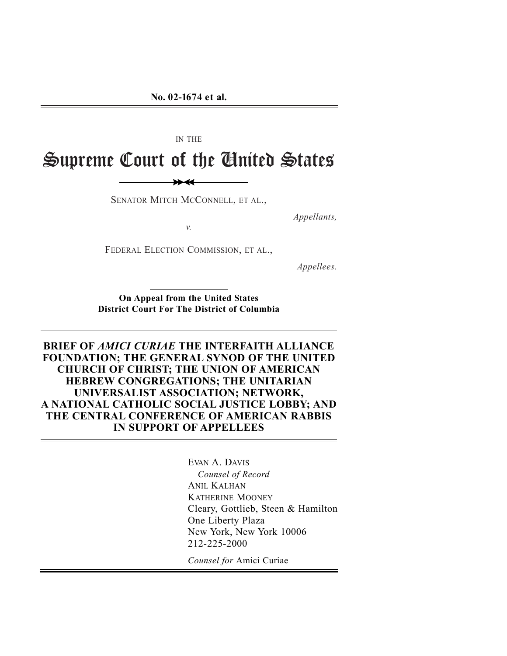IN THE

Supreme Court of the United States

SENATOR MITCH MCCONNELL, ET AL.,

 $\rightarrow$ 

*v.* 

FEDERAL ELECTION COMMISSION, ET AL.,

*Appellees.* 

*Appellants,* 

**On Appeal from the United States District Court For The District of Columbia**

**BRIEF OF** *AMICI CURIAE* **THE INTERFAITH ALLIANCE FOUNDATION; THE GENERAL SYNOD OF THE UNITED CHURCH OF CHRIST; THE UNION OF AMERICAN HEBREW CONGREGATIONS; THE UNITARIAN UNIVERSALIST ASSOCIATION; NETWORK, A NATIONAL CATHOLIC SOCIAL JUSTICE LOBBY; AND THE CENTRAL CONFERENCE OF AMERICAN RABBIS IN SUPPORT OF APPELLEES**

> EVAN A. DAVIS *Counsel of Record*  ANIL KALHAN KATHERINE MOONEY Cleary, Gottlieb, Steen & Hamilton One Liberty Plaza New York, New York 10006 212-225-2000

**Counsel for Amici Curiae**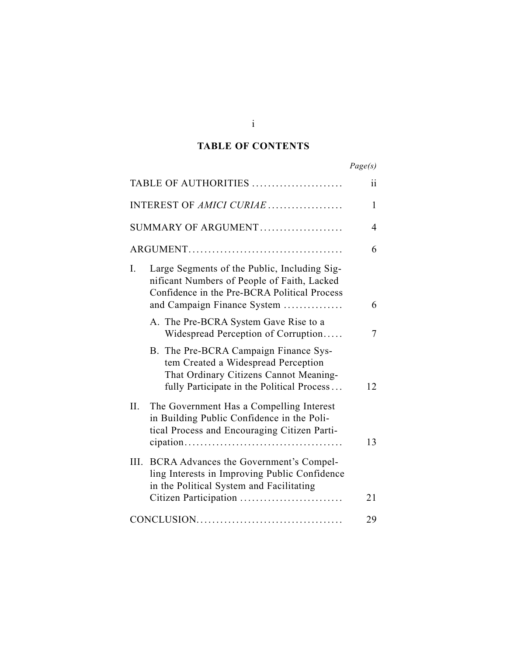### **TABLE OF CONTENTS**

|                                                                                                                                                                                  | Page(s) |
|----------------------------------------------------------------------------------------------------------------------------------------------------------------------------------|---------|
| TABLE OF AUTHORITIES                                                                                                                                                             | ii      |
| INTEREST OF AMICI CURIAE                                                                                                                                                         | 1       |
| SUMMARY OF ARGUMENT                                                                                                                                                              | 4       |
|                                                                                                                                                                                  | 6       |
| Large Segments of the Public, Including Sig-<br>I.<br>nificant Numbers of People of Faith, Lacked<br>Confidence in the Pre-BCRA Political Process<br>and Campaign Finance System | 6       |
| A. The Pre-BCRA System Gave Rise to a<br>Widespread Perception of Corruption                                                                                                     | 7       |
| B. The Pre-BCRA Campaign Finance Sys-<br>tem Created a Widespread Perception<br>That Ordinary Citizens Cannot Meaning-<br>fully Participate in the Political Process             | 12      |
| II.<br>The Government Has a Compelling Interest<br>in Building Public Confidence in the Poli-<br>tical Process and Encouraging Citizen Parti-                                    | 13      |
| III.<br>BCRA Advances the Government's Compel-<br>ling Interests in Improving Public Confidence<br>in the Political System and Facilitating<br>Citizen Participation             | 21      |
|                                                                                                                                                                                  | 29      |

i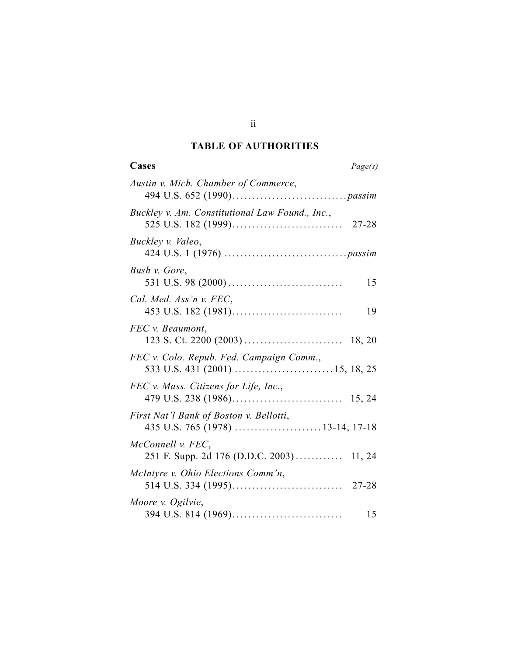#### **TABLE OF AUTHORITIES**

| Cases<br>Page(s)                                                            |
|-----------------------------------------------------------------------------|
| Austin v. Mich. Chamber of Commerce,                                        |
| Buckley v. Am. Constitutional Law Found., Inc.,                             |
| Buckley v. Valeo,                                                           |
| Bush v. Gore,<br>15                                                         |
| Cal. Med. Ass'n v. FEC,<br>19                                               |
| FEC v. Beaumont,                                                            |
| FEC v. Colo. Repub. Fed. Campaign Comm.,                                    |
| FEC v. Mass. Citizens for Life, Inc.,                                       |
| First Nat'l Bank of Boston v. Bellotti,<br>435 U.S. 765 (1978) 13-14, 17-18 |
| McConnell v. FEC,<br>251 F. Supp. 2d 176 (D.D.C. 2003) 11, 24               |
| McIntyre v. Ohio Elections Comm'n,                                          |
| Moore v. Ogilvie,<br>15                                                     |

ii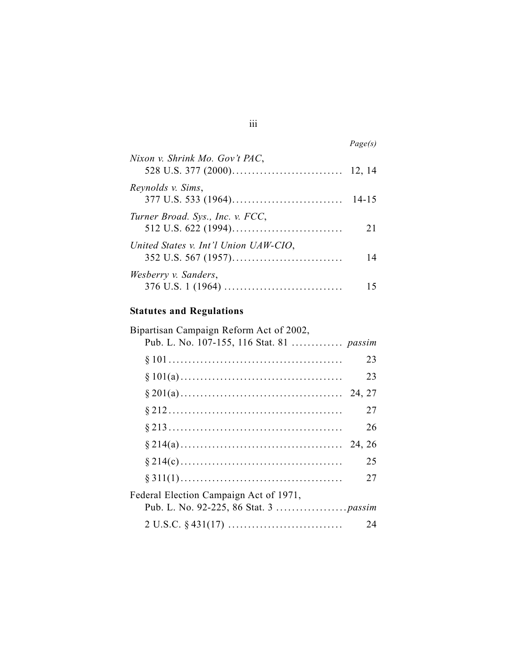| Nixon v. Shrink Mo. Gov't PAC,        |           |
|---------------------------------------|-----------|
| Reynolds v. Sims,                     | $14 - 15$ |
| Turner Broad. Sys., Inc. v. FCC,      | 21        |
| United States v. Int'l Union UAW-CIO, | 14        |
| Wesberry v. Sanders,                  |           |

# **Statutes and Regulations**

| Bipartisan Campaign Reform Act of 2002,   |    |
|-------------------------------------------|----|
| Pub. L. No. 107-155, 116 Stat. 81  passim |    |
|                                           | 23 |
|                                           | 23 |
|                                           |    |
|                                           | 27 |
|                                           | 26 |
|                                           |    |
|                                           | 25 |
|                                           | 27 |
| Federal Election Campaign Act of 1971,    |    |
|                                           |    |
| $2 U.S.C. § 431(17) \ldots$               | 24 |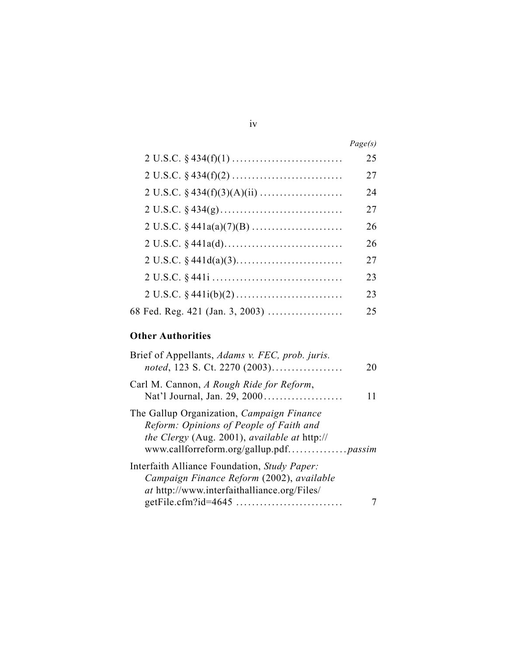|                                 | Page(s) |
|---------------------------------|---------|
|                                 | 25      |
| $2 U.S.C. § 434(f)(2) \dots$    | 27      |
|                                 | 24      |
|                                 | 27      |
|                                 | 26      |
|                                 | 26      |
|                                 | 27      |
|                                 | 23      |
| $2 U.S.C. § 441i(b)(2) \dots$   | 23      |
| 68 Fed. Reg. 421 (Jan. 3, 2003) | 25      |

## **Other Authorities**

| Brief of Appellants, Adams v. FEC, prob. juris.<br>noted, 123 S. Ct. 2270 (2003)                                                                | 20 |
|-------------------------------------------------------------------------------------------------------------------------------------------------|----|
| Carl M. Cannon, A Rough Ride for Reform,                                                                                                        | 11 |
| The Gallup Organization, Campaign Finance<br>Reform: Opinions of People of Faith and<br>the Clergy (Aug. 2001), available at http://            |    |
| Interfaith Alliance Foundation, Study Paper:<br>Campaign Finance Reform (2002), available<br><i>at</i> http://www.interfaithalliance.org/Files/ |    |
|                                                                                                                                                 |    |

#### iv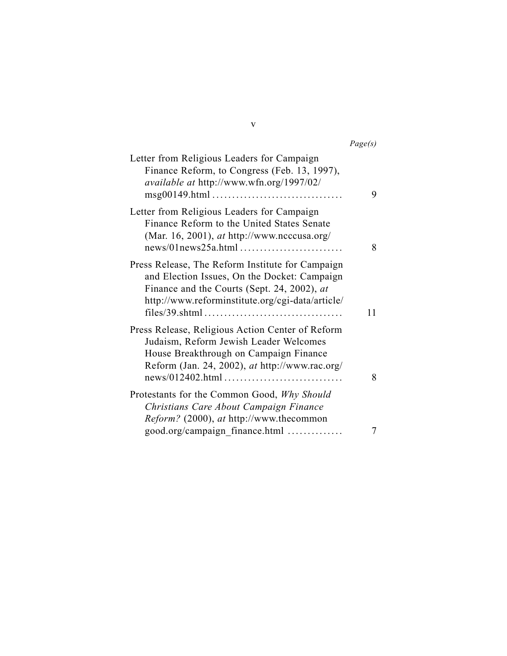*Page(s)* 

| Letter from Religious Leaders for Campaign<br>Finance Reform, to Congress (Feb. 13, 1997),<br>available at http://www.wfn.org/1997/02/<br>$msg00149.html \dots \dots \dots \dots \dots \dots \dots \dots \dots \dots$ | 9  |
|-----------------------------------------------------------------------------------------------------------------------------------------------------------------------------------------------------------------------|----|
| Letter from Religious Leaders for Campaign<br>Finance Reform to the United States Senate<br>(Mar. 16, 2001), <i>at</i> http://www.ncccusa.org/                                                                        | 8  |
| Press Release, The Reform Institute for Campaign<br>and Election Issues, On the Docket: Campaign<br>Finance and the Courts (Sept. 24, 2002), at<br>http://www.reforminstitute.org/cgi-data/article/                   | 11 |
| Press Release, Religious Action Center of Reform<br>Judaism, Reform Jewish Leader Welcomes<br>House Breakthrough on Campaign Finance<br>Reform (Jan. 24, 2002), at http://www.rac.org/                                | 8  |
| Protestants for the Common Good, Why Should<br>Christians Care About Campaign Finance<br><i>Reform?</i> (2000), <i>at</i> http://www.thecommon<br>good.org/campaign finance.html                                      |    |

v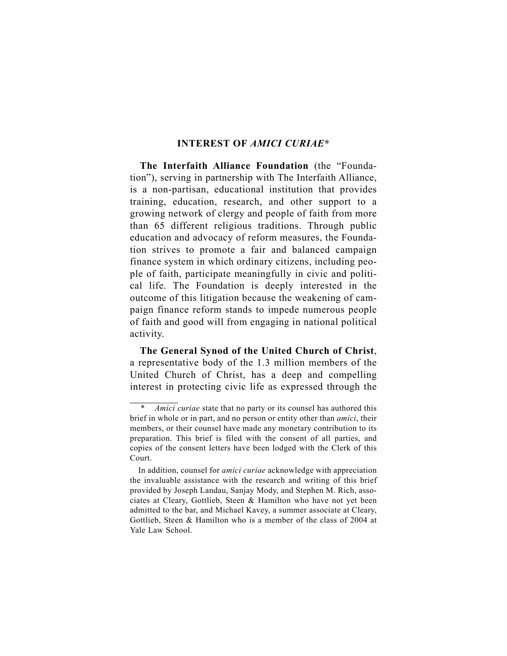### **INTEREST OF** *AMICI CURIAE***\***

**The Interfaith Alliance Foundation** (the "Foundation"), serving in partnership with The Interfaith Alliance, is a non-partisan, educational institution that provides training, education, research, and other support to a growing network of clergy and people of faith from more than 65 different religious traditions. Through public education and advocacy of reform measures, the Foundation strives to promote a fair and balanced campaign finance system in which ordinary citizens, including people of faith, participate meaningfully in civic and political life. The Foundation is deeply interested in the outcome of this litigation because the weakening of campaign finance reform stands to impede numerous people of faith and good will from engaging in national political activity.

**The General Synod of the United Church of Christ**, a representative body of the 1.3 million members of the United Church of Christ, has a deep and compelling interest in protecting civic life as expressed through the

*Amici curiae* state that no party or its counsel has authored this brief in whole or in part, and no person or entity other than *amici*, their members, or their counsel have made any monetary contribution to its preparation. This brief is filed with the consent of all parties, and copies of the consent letters have been lodged with the Clerk of this Court.

In addition, counsel for *amici curiae* acknowledge with appreciation the invaluable assistance with the research and writing of this brief provided by Joseph Landau, Sanjay Mody, and Stephen M. Rich, associates at Cleary, Gottlieb, Steen & Hamilton who have not yet been admitted to the bar, and Michael Kavey, a summer associate at Cleary, Gottlieb, Steen & Hamilton who is a member of the class of 2004 at Yale Law School.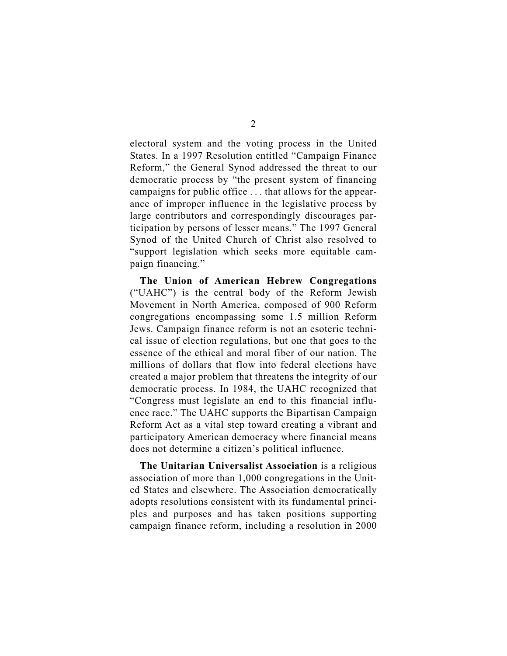electoral system and the voting process in the United States. In a 1997 Resolution entitled "Campaign Finance Reform," the General Synod addressed the threat to our democratic process by "the present system of financing campaigns for public office . . . that allows for the appearance of improper influence in the legislative process by large contributors and correspondingly discourages participation by persons of lesser means." The 1997 General Synod of the United Church of Christ also resolved to "support legislation which seeks more equitable campaign financing."

**The Union of American Hebrew Congregations**  ("UAHC") is the central body of the Reform Jewish Movement in North America, composed of 900 Reform congregations encompassing some 1.5 million Reform Jews. Campaign finance reform is not an esoteric technical issue of election regulations, but one that goes to the essence of the ethical and moral fiber of our nation. The millions of dollars that flow into federal elections have created a major problem that threatens the integrity of our democratic process. In 1984, the UAHC recognized that "Congress must legislate an end to this financial influence race." The UAHC supports the Bipartisan Campaign Reform Act as a vital step toward creating a vibrant and participatory American democracy where financial means does not determine a citizen's political influence.

**The Unitarian Universalist Association** is a religious association of more than 1,000 congregations in the United States and elsewhere. The Association democratically adopts resolutions consistent with its fundamental principles and purposes and has taken positions supporting campaign finance reform, including a resolution in 2000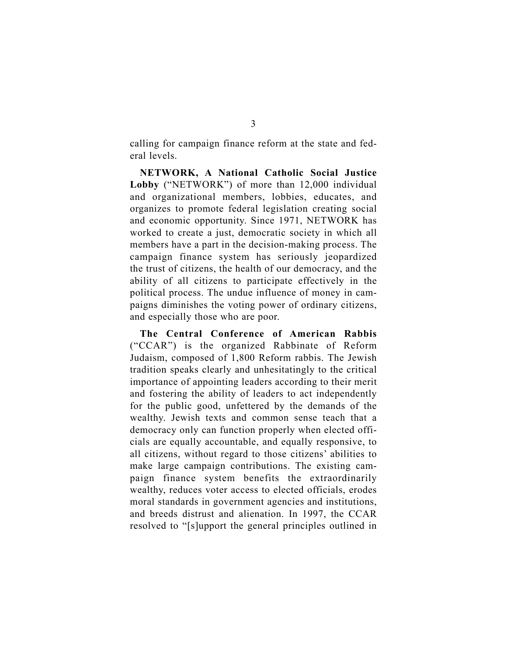calling for campaign finance reform at the state and federal levels.

**NETWORK, A National Catholic Social Justice Lobby** ("NETWORK") of more than 12,000 individual and organizational members, lobbies, educates, and organizes to promote federal legislation creating social and economic opportunity. Since 1971, NETWORK has worked to create a just, democratic society in which all members have a part in the decision-making process. The campaign finance system has seriously jeopardized the trust of citizens, the health of our democracy, and the ability of all citizens to participate effectively in the political process. The undue influence of money in campaigns diminishes the voting power of ordinary citizens, and especially those who are poor.

**The Central Conference of American Rabbis**  ("CCAR") is the organized Rabbinate of Reform Judaism, composed of 1,800 Reform rabbis. The Jewish tradition speaks clearly and unhesitatingly to the critical importance of appointing leaders according to their merit and fostering the ability of leaders to act independently for the public good, unfettered by the demands of the wealthy. Jewish texts and common sense teach that a democracy only can function properly when elected officials are equally accountable, and equally responsive, to all citizens, without regard to those citizens' abilities to make large campaign contributions. The existing campaign finance system benefits the extraordinarily wealthy, reduces voter access to elected officials, erodes moral standards in government agencies and institutions, and breeds distrust and alienation. In 1997, the CCAR resolved to "[s]upport the general principles outlined in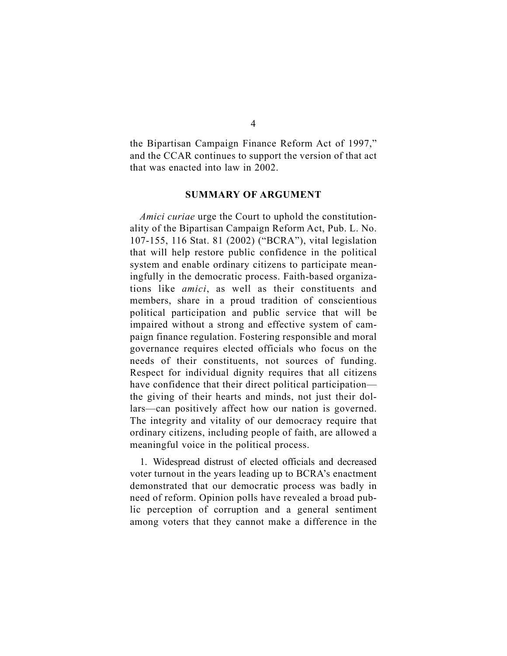the Bipartisan Campaign Finance Reform Act of 1997," and the CCAR continues to support the version of that act that was enacted into law in 2002.

#### **SUMMARY OF ARGUMENT**

*Amici curiae* urge the Court to uphold the constitutionality of the Bipartisan Campaign Reform Act, Pub. L. No. 107-155, 116 Stat. 81 (2002) ("BCRA"), vital legislation that will help restore public confidence in the political system and enable ordinary citizens to participate meaningfully in the democratic process. Faith-based organizations like *amici*, as well as their constituents and members, share in a proud tradition of conscientious political participation and public service that will be impaired without a strong and effective system of campaign finance regulation. Fostering responsible and moral governance requires elected officials who focus on the needs of their constituents, not sources of funding. Respect for individual dignity requires that all citizens have confidence that their direct political participation the giving of their hearts and minds, not just their dollars—can positively affect how our nation is governed. The integrity and vitality of our democracy require that ordinary citizens, including people of faith, are allowed a meaningful voice in the political process.

1. Widespread distrust of elected officials and decreased voter turnout in the years leading up to BCRA's enactment demonstrated that our democratic process was badly in need of reform. Opinion polls have revealed a broad public perception of corruption and a general sentiment among voters that they cannot make a difference in the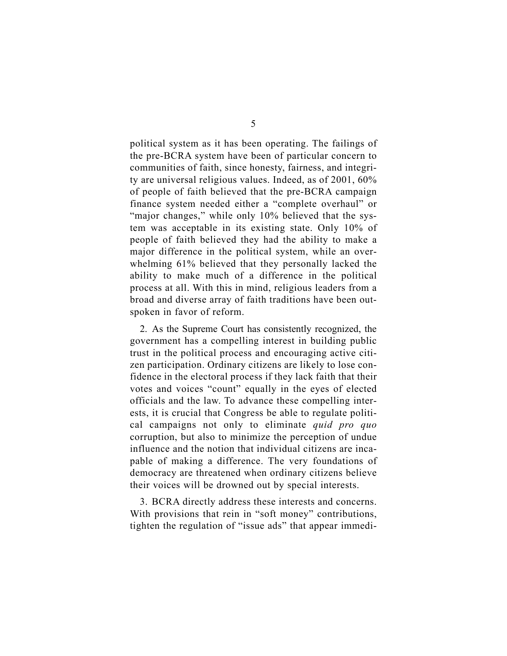political system as it has been operating. The failings of the pre-BCRA system have been of particular concern to communities of faith, since honesty, fairness, and integrity are universal religious values. Indeed, as of 2001, 60% of people of faith believed that the pre-BCRA campaign finance system needed either a "complete overhaul" or "major changes," while only 10% believed that the system was acceptable in its existing state. Only 10% of people of faith believed they had the ability to make a major difference in the political system, while an overwhelming 61% believed that they personally lacked the ability to make much of a difference in the political process at all. With this in mind, religious leaders from a broad and diverse array of faith traditions have been outspoken in favor of reform.

2. As the Supreme Court has consistently recognized, the government has a compelling interest in building public trust in the political process and encouraging active citizen participation. Ordinary citizens are likely to lose confidence in the electoral process if they lack faith that their votes and voices "count" equally in the eyes of elected officials and the law. To advance these compelling interests, it is crucial that Congress be able to regulate political campaigns not only to eliminate *quid pro quo*  corruption, but also to minimize the perception of undue influence and the notion that individual citizens are incapable of making a difference. The very foundations of democracy are threatened when ordinary citizens believe their voices will be drowned out by special interests.

3. BCRA directly address these interests and concerns. With provisions that rein in "soft money" contributions, tighten the regulation of "issue ads" that appear immedi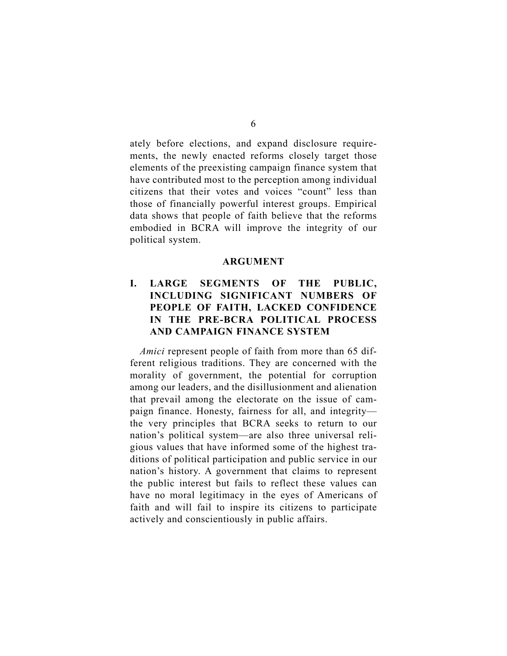ately before elections, and expand disclosure requirements, the newly enacted reforms closely target those elements of the preexisting campaign finance system that have contributed most to the perception among individual citizens that their votes and voices "count" less than those of financially powerful interest groups. Empirical data shows that people of faith believe that the reforms embodied in BCRA will improve the integrity of our political system.

#### **ARGUMENT**

### **I. LARGE SEGMENTS OF THE PUBLIC, INCLUDING SIGNIFICANT NUMBERS OF PEOPLE OF FAITH, LACKED CONFIDENCE IN THE PRE-BCRA POLITICAL PROCESS AND CAMPAIGN FINANCE SYSTEM**

*Amici* represent people of faith from more than 65 different religious traditions. They are concerned with the morality of government, the potential for corruption among our leaders, and the disillusionment and alienation that prevail among the electorate on the issue of campaign finance. Honesty, fairness for all, and integrity the very principles that BCRA seeks to return to our nation's political system—are also three universal religious values that have informed some of the highest traditions of political participation and public service in our nation's history. A government that claims to represent the public interest but fails to reflect these values can have no moral legitimacy in the eyes of Americans of faith and will fail to inspire its citizens to participate actively and conscientiously in public affairs.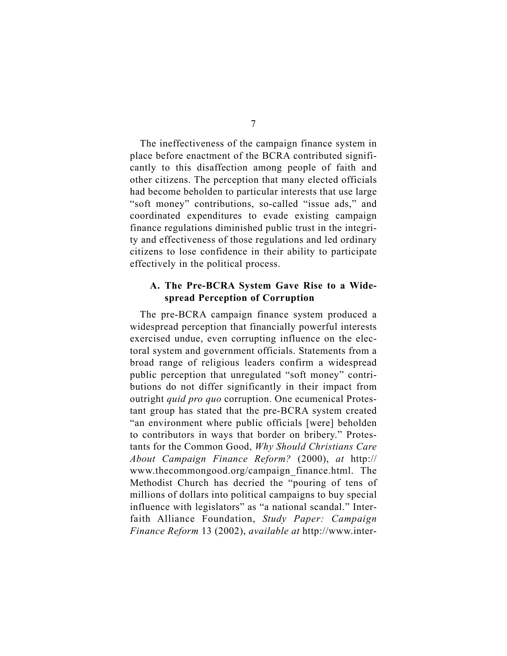The ineffectiveness of the campaign finance system in place before enactment of the BCRA contributed significantly to this disaffection among people of faith and other citizens. The perception that many elected officials had become beholden to particular interests that use large "soft money" contributions, so-called "issue ads," and coordinated expenditures to evade existing campaign finance regulations diminished public trust in the integrity and effectiveness of those regulations and led ordinary citizens to lose confidence in their ability to participate effectively in the political process.

#### **A. The Pre-BCRA System Gave Rise to a Widespread Perception of Corruption**

The pre-BCRA campaign finance system produced a widespread perception that financially powerful interests exercised undue, even corrupting influence on the electoral system and government officials. Statements from a broad range of religious leaders confirm a widespread public perception that unregulated "soft money" contributions do not differ significantly in their impact from outright *quid pro quo* corruption. One ecumenical Protestant group has stated that the pre-BCRA system created "an environment where public officials [were] beholden to contributors in ways that border on bribery." Protestants for the Common Good, *Why Should Christians Care About Campaign Finance Reform?* (2000), *at* http:// www.thecommongood.org/campaign\_finance.html. The Methodist Church has decried the "pouring of tens of millions of dollars into political campaigns to buy special influence with legislators" as "a national scandal." Interfaith Alliance Foundation, *Study Paper: Campaign Finance Reform* 13 (2002), *available at* http://www.inter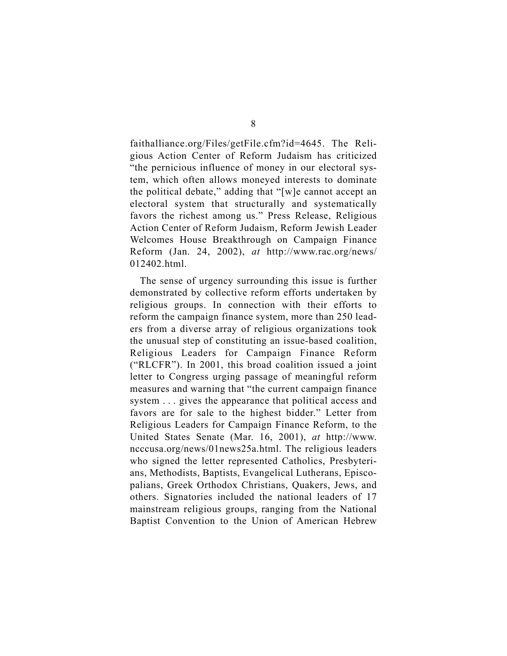faithalliance.org/Files/getFile.cfm?id=4645. The Religious Action Center of Reform Judaism has criticized "the pernicious influence of money in our electoral system, which often allows moneyed interests to dominate the political debate," adding that "[w]e cannot accept an electoral system that structurally and systematically favors the richest among us." Press Release, Religious Action Center of Reform Judaism, Reform Jewish Leader Welcomes House Breakthrough on Campaign Finance Reform (Jan. 24, 2002), *at* http://www.rac.org/news/ 012402.html.

The sense of urgency surrounding this issue is further demonstrated by collective reform efforts undertaken by religious groups. In connection with their efforts to reform the campaign finance system, more than 250 leaders from a diverse array of religious organizations took the unusual step of constituting an issue-based coalition, Religious Leaders for Campaign Finance Reform ("RLCFR"). In 2001, this broad coalition issued a joint letter to Congress urging passage of meaningful reform measures and warning that "the current campaign finance system . . . gives the appearance that political access and favors are for sale to the highest bidder." Letter from Religious Leaders for Campaign Finance Reform, to the United States Senate (Mar. 16, 2001), *at* http://www. ncccusa.org/news/01news25a.html. The religious leaders who signed the letter represented Catholics, Presbyterians, Methodists, Baptists, Evangelical Lutherans, Episcopalians, Greek Orthodox Christians, Quakers, Jews, and others. Signatories included the national leaders of 17 mainstream religious groups, ranging from the National Baptist Convention to the Union of American Hebrew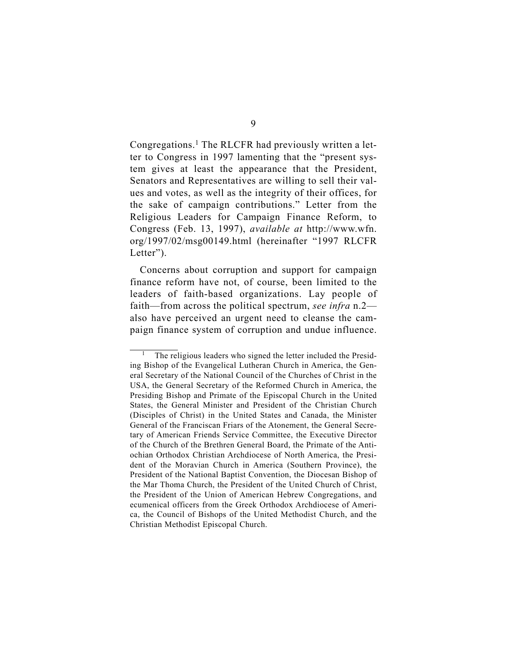Congregations.<sup>1</sup> The RLCFR had previously written a letter to Congress in 1997 lamenting that the "present system gives at least the appearance that the President, Senators and Representatives are willing to sell their values and votes, as well as the integrity of their offices, for the sake of campaign contributions." Letter from the Religious Leaders for Campaign Finance Reform, to Congress (Feb. 13, 1997), *available at* http://www.wfn. org/1997/02/msg00149.html (hereinafter "1997 RLCFR Letter").

Concerns about corruption and support for campaign finance reform have not, of course, been limited to the leaders of faith-based organizations. Lay people of faith—from across the political spectrum, *see infra* n.2 also have perceived an urgent need to cleanse the campaign finance system of corruption and undue influence.

The religious leaders who signed the letter included the Presiding Bishop of the Evangelical Lutheran Church in America, the General Secretary of the National Council of the Churches of Christ in the USA, the General Secretary of the Reformed Church in America, the Presiding Bishop and Primate of the Episcopal Church in the United States, the General Minister and President of the Christian Church (Disciples of Christ) in the United States and Canada, the Minister General of the Franciscan Friars of the Atonement, the General Secretary of American Friends Service Committee, the Executive Director of the Church of the Brethren General Board, the Primate of the Antiochian Orthodox Christian Archdiocese of North America, the President of the Moravian Church in America (Southern Province), the President of the National Baptist Convention, the Diocesan Bishop of the Mar Thoma Church, the President of the United Church of Christ, the President of the Union of American Hebrew Congregations, and ecumenical officers from the Greek Orthodox Archdiocese of America, the Council of Bishops of the United Methodist Church, and the Christian Methodist Episcopal Church.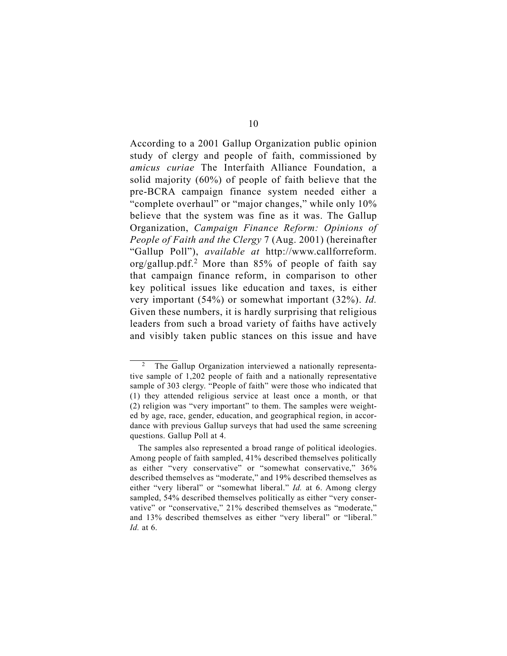According to a 2001 Gallup Organization public opinion study of clergy and people of faith, commissioned by *amicus curiae* The Interfaith Alliance Foundation, a solid majority (60%) of people of faith believe that the pre-BCRA campaign finance system needed either a "complete overhaul" or "major changes," while only 10% believe that the system was fine as it was. The Gallup Organization, *Campaign Finance Reform: Opinions of People of Faith and the Clergy* 7 (Aug. 2001) (hereinafter "Gallup Poll"), *available at* http://www.callforreform. org/gallup.pdf.<sup>2</sup> More than  $85\%$  of people of faith say that campaign finance reform, in comparison to other key political issues like education and taxes, is either very important (54%) or somewhat important (32%). *Id.*  Given these numbers, it is hardly surprising that religious leaders from such a broad variety of faiths have actively and visibly taken public stances on this issue and have

The Gallup Organization interviewed a nationally representative sample of 1,202 people of faith and a nationally representative sample of 303 clergy. "People of faith" were those who indicated that (1) they attended religious service at least once a month, or that (2) religion was "very important" to them. The samples were weighted by age, race, gender, education, and geographical region, in accordance with previous Gallup surveys that had used the same screening questions. Gallup Poll at 4.

The samples also represented a broad range of political ideologies. Among people of faith sampled, 41% described themselves politically as either "very conservative" or "somewhat conservative," 36% described themselves as "moderate," and 19% described themselves as either "very liberal" or "somewhat liberal." *Id.* at 6. Among clergy sampled, 54% described themselves politically as either "very conservative" or "conservative," 21% described themselves as "moderate," and 13% described themselves as either "very liberal" or "liberal." *Id.* at 6.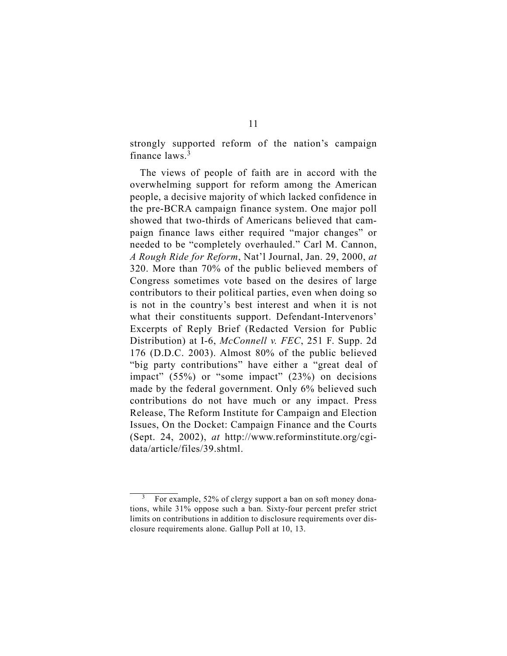strongly supported reform of the nation's campaign finance laws.3

The views of people of faith are in accord with the overwhelming support for reform among the American people, a decisive majority of which lacked confidence in the pre-BCRA campaign finance system. One major poll showed that two-thirds of Americans believed that campaign finance laws either required "major changes" or needed to be "completely overhauled." Carl M. Cannon, *A Rough Ride for Reform*, Nat'l Journal, Jan. 29, 2000, *at*  320. More than 70% of the public believed members of Congress sometimes vote based on the desires of large contributors to their political parties, even when doing so is not in the country's best interest and when it is not what their constituents support. Defendant-Intervenors' Excerpts of Reply Brief (Redacted Version for Public Distribution) at I-6, *McConnell v. FEC*, 251 F. Supp. 2d 176 (D.D.C. 2003). Almost 80% of the public believed "big party contributions" have either a "great deal of impact" (55%) or "some impact" (23%) on decisions made by the federal government. Only 6% believed such contributions do not have much or any impact. Press Release, The Reform Institute for Campaign and Election Issues, On the Docket: Campaign Finance and the Courts (Sept. 24, 2002), *at* http://www.reforminstitute.org/cgidata/article/files/39.shtml.

For example, 52% of clergy support a ban on soft money donations, while 31% oppose such a ban. Sixty-four percent prefer strict limits on contributions in addition to disclosure requirements over disclosure requirements alone. Gallup Poll at 10, 13.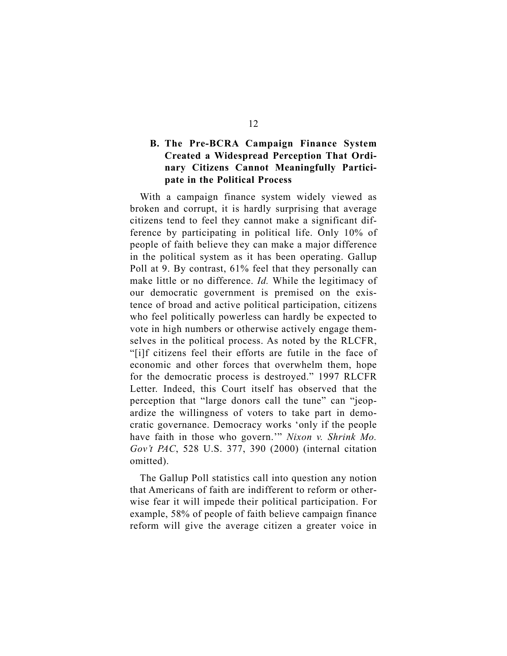### **B. The Pre-BCRA Campaign Finance System Created a Widespread Perception That Ordinary Citizens Cannot Meaningfully Participate in the Political Process**

With a campaign finance system widely viewed as broken and corrupt, it is hardly surprising that average citizens tend to feel they cannot make a significant difference by participating in political life. Only 10% of people of faith believe they can make a major difference in the political system as it has been operating. Gallup Poll at 9. By contrast, 61% feel that they personally can make little or no difference. *Id.* While the legitimacy of our democratic government is premised on the existence of broad and active political participation, citizens who feel politically powerless can hardly be expected to vote in high numbers or otherwise actively engage themselves in the political process. As noted by the RLCFR, "[i]f citizens feel their efforts are futile in the face of economic and other forces that overwhelm them, hope for the democratic process is destroyed." 1997 RLCFR Letter. Indeed, this Court itself has observed that the perception that "large donors call the tune" can "jeopardize the willingness of voters to take part in democratic governance. Democracy works 'only if the people have faith in those who govern.'" *Nixon v. Shrink Mo. Gov't PAC*, 528 U.S. 377, 390 (2000) (internal citation omitted).

The Gallup Poll statistics call into question any notion that Americans of faith are indifferent to reform or otherwise fear it will impede their political participation. For example, 58% of people of faith believe campaign finance reform will give the average citizen a greater voice in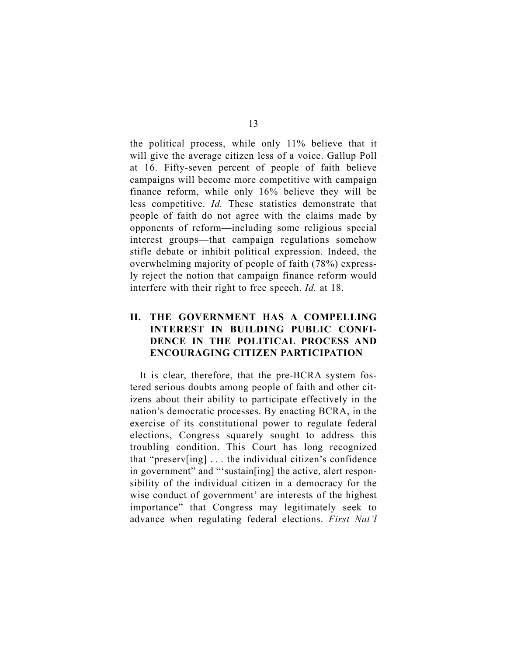the political process, while only 11% believe that it will give the average citizen less of a voice. Gallup Poll at 16. Fifty-seven percent of people of faith believe campaigns will become more competitive with campaign finance reform, while only 16% believe they will be less competitive. *Id.* These statistics demonstrate that people of faith do not agree with the claims made by opponents of reform—including some religious special interest groups—that campaign regulations somehow stifle debate or inhibit political expression. Indeed, the overwhelming majority of people of faith (78%) expressly reject the notion that campaign finance reform would interfere with their right to free speech. *Id.* at 18.

#### **II. THE GOVERNMENT HAS A COMPELLING INTEREST IN BUILDING PUBLIC CONFI-DENCE IN THE POLITICAL PROCESS AND ENCOURAGING CITIZEN PARTICIPATION**

It is clear, therefore, that the pre-BCRA system fostered serious doubts among people of faith and other citizens about their ability to participate effectively in the nation's democratic processes. By enacting BCRA, in the exercise of its constitutional power to regulate federal elections, Congress squarely sought to address this troubling condition. This Court has long recognized that "preserv[ing] . . . the individual citizen's confidence in government" and "'sustain[ing] the active, alert responsibility of the individual citizen in a democracy for the wise conduct of government' are interests of the highest importance" that Congress may legitimately seek to advance when regulating federal elections. *First Nat'l*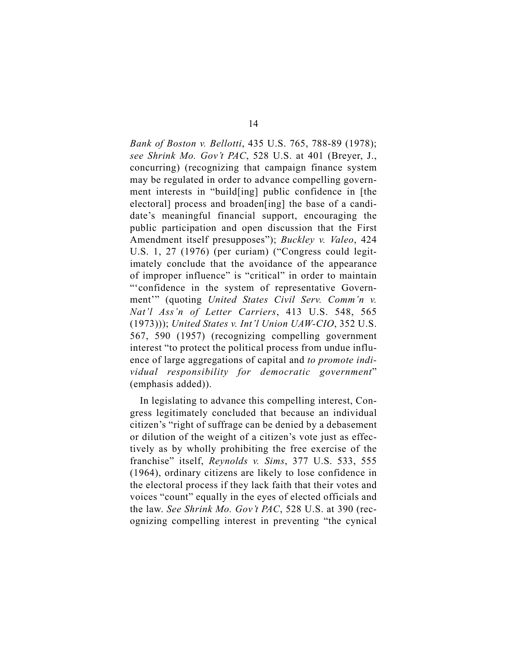*Bank of Boston v. Bellotti*, 435 U.S. 765, 788-89 (1978); *see Shrink Mo. Gov't PAC*, 528 U.S. at 401 (Breyer, J., concurring) (recognizing that campaign finance system may be regulated in order to advance compelling government interests in "build[ing] public confidence in [the electoral] process and broaden[ing] the base of a candidate's meaningful financial support, encouraging the public participation and open discussion that the First Amendment itself presupposes"); *Buckley v. Valeo*, 424 U.S. 1, 27 (1976) (per curiam) ("Congress could legitimately conclude that the avoidance of the appearance of improper influence" is "critical" in order to maintain "'confidence in the system of representative Government'" (quoting *United States Civil Serv. Comm'n v. Nat'l Ass'n of Letter Carriers*, 413 U.S. 548, 565 (1973))); *United States v. Int'l Union UAW-CIO*, 352 U.S. 567, 590 (1957) (recognizing compelling government interest "to protect the political process from undue influence of large aggregations of capital and *to promote individual responsibility for democratic government*" (emphasis added)).

In legislating to advance this compelling interest, Congress legitimately concluded that because an individual citizen's "right of suffrage can be denied by a debasement or dilution of the weight of a citizen's vote just as effectively as by wholly prohibiting the free exercise of the franchise" itself, *Reynolds v. Sims*, 377 U.S. 533, 555 (1964), ordinary citizens are likely to lose confidence in the electoral process if they lack faith that their votes and voices "count" equally in the eyes of elected officials and the law. *See Shrink Mo. Gov't PAC*, 528 U.S. at 390 (recognizing compelling interest in preventing "the cynical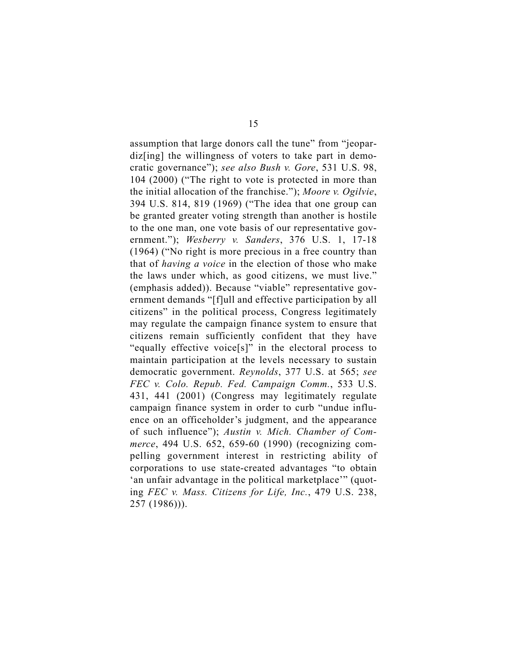assumption that large donors call the tune" from "jeopardiz<sup>[ing]</sup> the willingness of voters to take part in democratic governance"); *see also Bush v. Gore*, 531 U.S. 98, 104 (2000) ("The right to vote is protected in more than the initial allocation of the franchise."); *Moore v. Ogilvie*, 394 U.S. 814, 819 (1969) ("The idea that one group can be granted greater voting strength than another is hostile to the one man, one vote basis of our representative government."); *Wesberry v. Sanders*, 376 U.S. 1, 17-18 (1964) ("No right is more precious in a free country than that of *having a voice* in the election of those who make the laws under which, as good citizens, we must live." (emphasis added)). Because "viable" representative government demands "[f]ull and effective participation by all citizens" in the political process, Congress legitimately may regulate the campaign finance system to ensure that citizens remain sufficiently confident that they have "equally effective voice[s]" in the electoral process to maintain participation at the levels necessary to sustain democratic government. *Reynolds*, 377 U.S. at 565; *see FEC v. Colo. Repub. Fed. Campaign Comm.*, 533 U.S. 431, 441 (2001) (Congress may legitimately regulate campaign finance system in order to curb "undue influence on an officeholder's judgment, and the appearance of such influence"); *Austin v. Mich. Chamber of Commerce*, 494 U.S. 652, 659-60 (1990) (recognizing compelling government interest in restricting ability of corporations to use state-created advantages "to obtain 'an unfair advantage in the political marketplace'" (quoting *FEC v. Mass. Citizens for Life, Inc.*, 479 U.S. 238, 257 (1986))).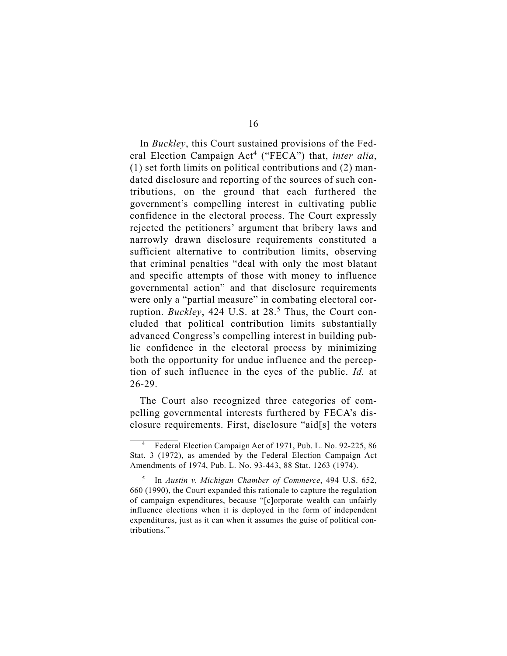In *Buckley*, this Court sustained provisions of the Federal Election Campaign Act<sup>4</sup> ("FECA") that, *inter alia*, (1) set forth limits on political contributions and (2) mandated disclosure and reporting of the sources of such contributions, on the ground that each furthered the government's compelling interest in cultivating public confidence in the electoral process. The Court expressly rejected the petitioners' argument that bribery laws and narrowly drawn disclosure requirements constituted a sufficient alternative to contribution limits, observing that criminal penalties "deal with only the most blatant and specific attempts of those with money to influence governmental action" and that disclosure requirements were only a "partial measure" in combating electoral corruption. *Buckley*, 424 U.S. at 28.<sup>5</sup> Thus, the Court concluded that political contribution limits substantially advanced Congress's compelling interest in building public confidence in the electoral process by minimizing both the opportunity for undue influence and the perception of such influence in the eyes of the public. *Id.* at 26-29.

The Court also recognized three categories of compelling governmental interests furthered by FECA's disclosure requirements. First, disclosure "aid[s] the voters

<sup>4</sup> Federal Election Campaign Act of 1971, Pub. L. No. 92-225, 86 Stat. 3 (1972), as amended by the Federal Election Campaign Act Amendments of 1974, Pub. L. No. 93-443, 88 Stat. 1263 (1974).

<sup>5</sup> In *Austin v. Michigan Chamber of Commerce*, 494 U.S. 652, 660 (1990), the Court expanded this rationale to capture the regulation of campaign expenditures, because "[c]orporate wealth can unfairly influence elections when it is deployed in the form of independent expenditures, just as it can when it assumes the guise of political contributions."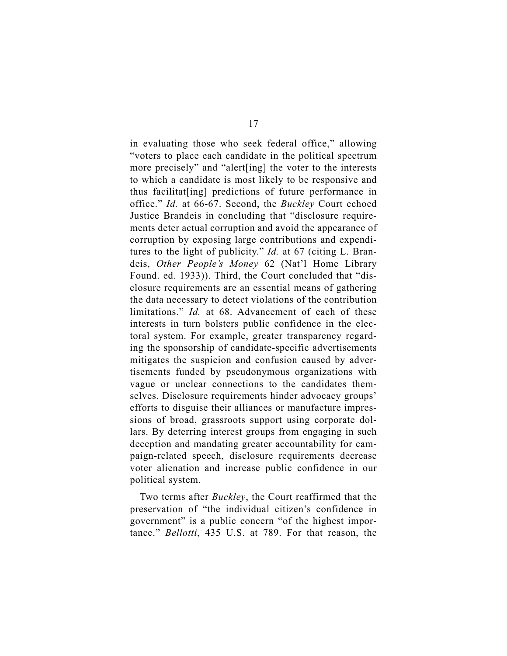in evaluating those who seek federal office," allowing "voters to place each candidate in the political spectrum more precisely" and "alert[ing] the voter to the interests to which a candidate is most likely to be responsive and thus facilitat[ing] predictions of future performance in office." *Id.* at 66-67. Second, the *Buckley* Court echoed Justice Brandeis in concluding that "disclosure requirements deter actual corruption and avoid the appearance of corruption by exposing large contributions and expenditures to the light of publicity." *Id.* at 67 (citing L. Brandeis, *Other People's Money* 62 (Nat'l Home Library Found. ed. 1933)). Third, the Court concluded that "disclosure requirements are an essential means of gathering the data necessary to detect violations of the contribution limitations." *Id.* at 68. Advancement of each of these interests in turn bolsters public confidence in the electoral system. For example, greater transparency regarding the sponsorship of candidate-specific advertisements mitigates the suspicion and confusion caused by advertisements funded by pseudonymous organizations with vague or unclear connections to the candidates themselves. Disclosure requirements hinder advocacy groups' efforts to disguise their alliances or manufacture impressions of broad, grassroots support using corporate dollars. By deterring interest groups from engaging in such deception and mandating greater accountability for campaign-related speech, disclosure requirements decrease voter alienation and increase public confidence in our political system.

Two terms after *Buckley*, the Court reaffirmed that the preservation of "the individual citizen's confidence in government" is a public concern "of the highest importance." *Bellotti*, 435 U.S. at 789. For that reason, the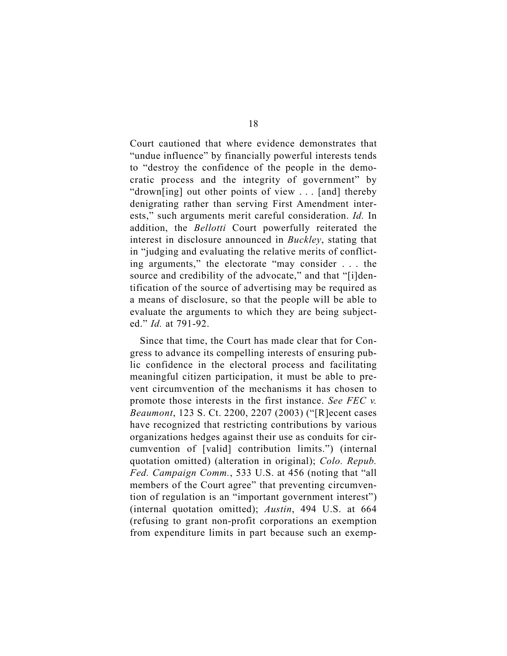Court cautioned that where evidence demonstrates that "undue influence" by financially powerful interests tends to "destroy the confidence of the people in the democratic process and the integrity of government" by "drown[ing] out other points of view . . . [and] thereby denigrating rather than serving First Amendment interests," such arguments merit careful consideration. *Id.* In addition, the *Bellotti* Court powerfully reiterated the interest in disclosure announced in *Buckley*, stating that in "judging and evaluating the relative merits of conflicting arguments," the electorate "may consider . . . the source and credibility of the advocate," and that "[i]dentification of the source of advertising may be required as a means of disclosure, so that the people will be able to evaluate the arguments to which they are being subjected." *Id.* at 791-92.

Since that time, the Court has made clear that for Congress to advance its compelling interests of ensuring public confidence in the electoral process and facilitating meaningful citizen participation, it must be able to prevent circumvention of the mechanisms it has chosen to promote those interests in the first instance. *See FEC v. Beaumont*, 123 S. Ct. 2200, 2207 (2003) ("[R]ecent cases have recognized that restricting contributions by various organizations hedges against their use as conduits for circumvention of [valid] contribution limits.") (internal quotation omitted) (alteration in original); *Colo. Repub. Fed. Campaign Comm.*, 533 U.S. at 456 (noting that "all members of the Court agree" that preventing circumvention of regulation is an "important government interest") (internal quotation omitted); *Austin*, 494 U.S. at 664 (refusing to grant non-profit corporations an exemption from expenditure limits in part because such an exemp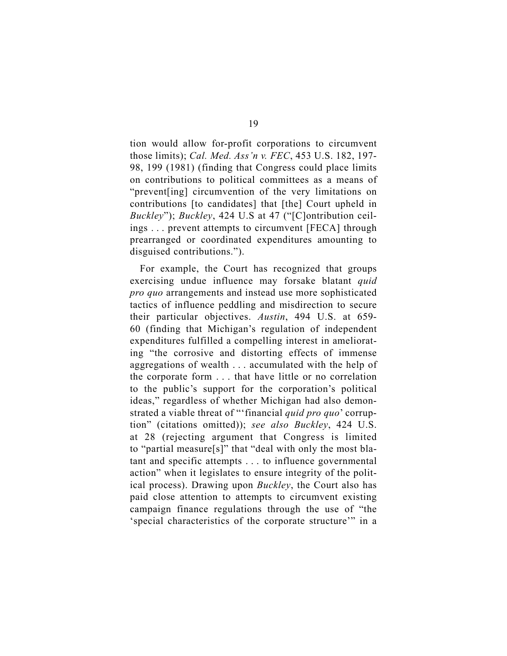tion would allow for-profit corporations to circumvent those limits); *Cal. Med. Ass'n v. FEC*, 453 U.S. 182, 197- 98, 199 (1981) (finding that Congress could place limits on contributions to political committees as a means of "prevent[ing] circumvention of the very limitations on contributions [to candidates] that [the] Court upheld in *Buckley*"); *Buckley*, 424 U.S at 47 ("[C]ontribution ceilings . . . prevent attempts to circumvent [FECA] through prearranged or coordinated expenditures amounting to disguised contributions.").

For example, the Court has recognized that groups exercising undue influence may forsake blatant *quid pro quo* arrangements and instead use more sophisticated tactics of influence peddling and misdirection to secure their particular objectives. *Austin*, 494 U.S. at 659- 60 (finding that Michigan's regulation of independent expenditures fulfilled a compelling interest in ameliorating "the corrosive and distorting effects of immense aggregations of wealth . . . accumulated with the help of the corporate form . . . that have little or no correlation to the public's support for the corporation's political ideas," regardless of whether Michigan had also demonstrated a viable threat of "'financial *quid pro quo*' corruption" (citations omitted)); *see also Buckley*, 424 U.S. at 28 (rejecting argument that Congress is limited to "partial measure[s]" that "deal with only the most blatant and specific attempts . . . to influence governmental action" when it legislates to ensure integrity of the political process). Drawing upon *Buckley*, the Court also has paid close attention to attempts to circumvent existing campaign finance regulations through the use of "the 'special characteristics of the corporate structure'" in a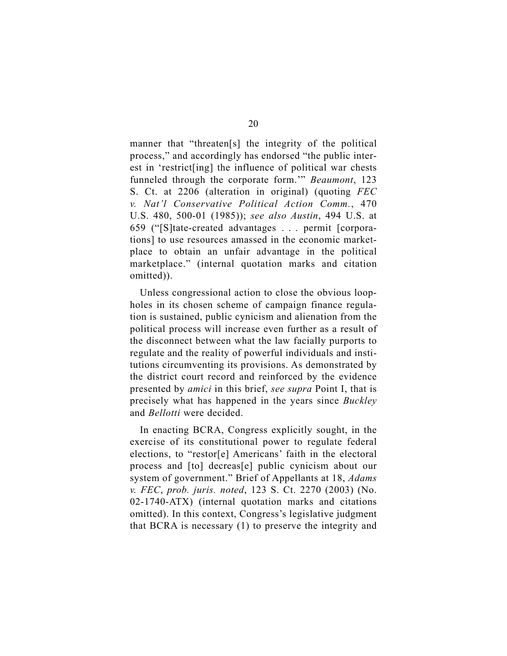manner that "threaten[s] the integrity of the political process," and accordingly has endorsed "the public interest in 'restrict[ing] the influence of political war chests funneled through the corporate form.'" *Beaumont*, 123 S. Ct. at 2206 (alteration in original) (quoting *FEC v. Nat'l Conservative Political Action Comm.*, 470 U.S. 480, 500-01 (1985)); *see also Austin*, 494 U.S. at 659 ("[S]tate-created advantages . . . permit [corporations] to use resources amassed in the economic marketplace to obtain an unfair advantage in the political marketplace." (internal quotation marks and citation omitted)).

Unless congressional action to close the obvious loopholes in its chosen scheme of campaign finance regulation is sustained, public cynicism and alienation from the political process will increase even further as a result of the disconnect between what the law facially purports to regulate and the reality of powerful individuals and institutions circumventing its provisions. As demonstrated by the district court record and reinforced by the evidence presented by *amici* in this brief, *see supra* Point I, that is precisely what has happened in the years since *Buckley*  and *Bellotti* were decided.

In enacting BCRA, Congress explicitly sought, in the exercise of its constitutional power to regulate federal elections, to "restor[e] Americans' faith in the electoral process and [to] decreas[e] public cynicism about our system of government." Brief of Appellants at 18, *Adams v. FEC*, *prob. juris. noted*, 123 S. Ct. 2270 (2003) (No. 02-1740-ATX) (internal quotation marks and citations omitted). In this context, Congress's legislative judgment that BCRA is necessary (1) to preserve the integrity and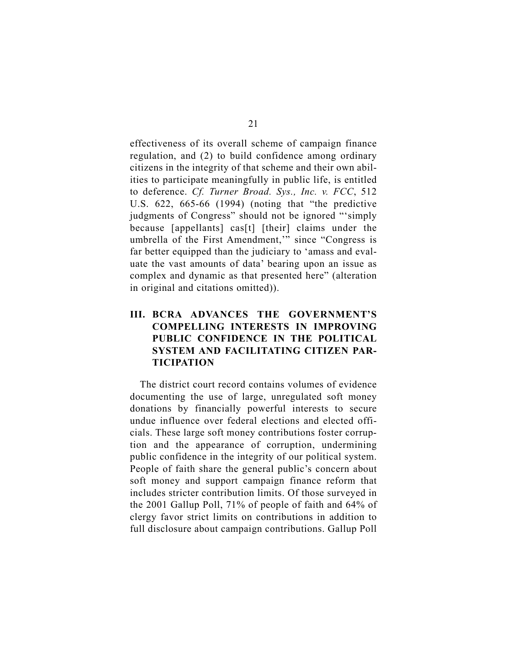effectiveness of its overall scheme of campaign finance regulation, and (2) to build confidence among ordinary citizens in the integrity of that scheme and their own abilities to participate meaningfully in public life, is entitled to deference. *Cf. Turner Broad. Sys., Inc. v. FCC*, 512 U.S. 622, 665-66 (1994) (noting that "the predictive judgments of Congress" should not be ignored "'simply because [appellants] cas[t] [their] claims under the umbrella of the First Amendment,'" since "Congress is far better equipped than the judiciary to 'amass and evaluate the vast amounts of data' bearing upon an issue as complex and dynamic as that presented here" (alteration in original and citations omitted)).

### **III. BCRA ADVANCES THE GOVERNMENT'S COMPELLING INTERESTS IN IMPROVING PUBLIC CONFIDENCE IN THE POLITICAL SYSTEM AND FACILITATING CITIZEN PAR-TICIPATION**

The district court record contains volumes of evidence documenting the use of large, unregulated soft money donations by financially powerful interests to secure undue influence over federal elections and elected officials. These large soft money contributions foster corruption and the appearance of corruption, undermining public confidence in the integrity of our political system. People of faith share the general public's concern about soft money and support campaign finance reform that includes stricter contribution limits. Of those surveyed in the 2001 Gallup Poll, 71% of people of faith and 64% of clergy favor strict limits on contributions in addition to full disclosure about campaign contributions. Gallup Poll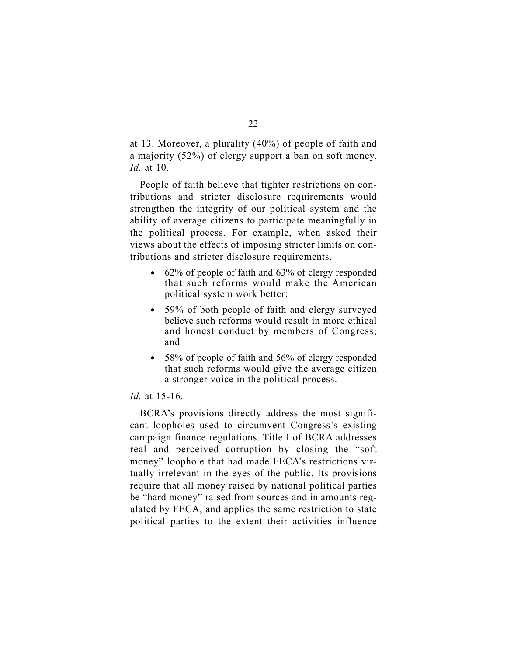at 13. Moreover, a plurality (40%) of people of faith and a majority (52%) of clergy support a ban on soft money. *Id.* at 10.

People of faith believe that tighter restrictions on contributions and stricter disclosure requirements would strengthen the integrity of our political system and the ability of average citizens to participate meaningfully in the political process. For example, when asked their views about the effects of imposing stricter limits on contributions and stricter disclosure requirements,

- $\bullet$  62% of people of faith and 63% of clergy responded that such reforms would make the American political system work better;
- $\bullet$  59% of both people of faith and clergy surveyed believe such reforms would result in more ethical and honest conduct by members of Congress; and
- $\bullet$  58% of people of faith and 56% of clergy responded that such reforms would give the average citizen a stronger voice in the political process.

#### *Id.* at 15-16.

BCRA's provisions directly address the most significant loopholes used to circumvent Congress's existing campaign finance regulations. Title I of BCRA addresses real and perceived corruption by closing the "soft money" loophole that had made FECA's restrictions virtually irrelevant in the eyes of the public. Its provisions require that all money raised by national political parties be "hard money" raised from sources and in amounts regulated by FECA, and applies the same restriction to state political parties to the extent their activities influence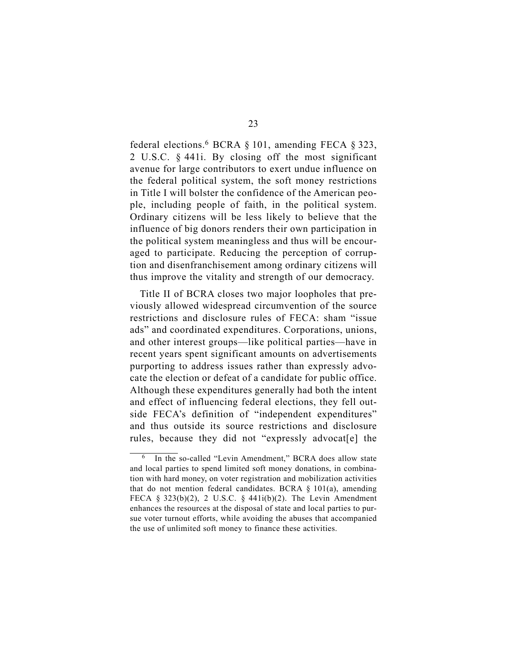federal elections.<sup>6</sup> BCRA  $\S$  101, amending FECA  $\S$  323, 2 U.S.C. § 441i. By closing off the most significant avenue for large contributors to exert undue influence on the federal political system, the soft money restrictions in Title I will bolster the confidence of the American people, including people of faith, in the political system. Ordinary citizens will be less likely to believe that the influence of big donors renders their own participation in the political system meaningless and thus will be encouraged to participate. Reducing the perception of corruption and disenfranchisement among ordinary citizens will thus improve the vitality and strength of our democracy.

Title II of BCRA closes two major loopholes that previously allowed widespread circumvention of the source restrictions and disclosure rules of FECA: sham "issue ads" and coordinated expenditures. Corporations, unions, and other interest groups—like political parties—have in recent years spent significant amounts on advertisements purporting to address issues rather than expressly advocate the election or defeat of a candidate for public office. Although these expenditures generally had both the intent and effect of influencing federal elections, they fell outside FECA's definition of "independent expenditures" and thus outside its source restrictions and disclosure rules, because they did not "expressly advocat[e] the

In the so-called "Levin Amendment," BCRA does allow state and local parties to spend limited soft money donations, in combination with hard money, on voter registration and mobilization activities that do not mention federal candidates. BCRA  $\S$  101(a), amending FECA  $\S$  323(b)(2), 2 U.S.C.  $\S$  441i(b)(2). The Levin Amendment enhances the resources at the disposal of state and local parties to pursue voter turnout efforts, while avoiding the abuses that accompanied the use of unlimited soft money to finance these activities.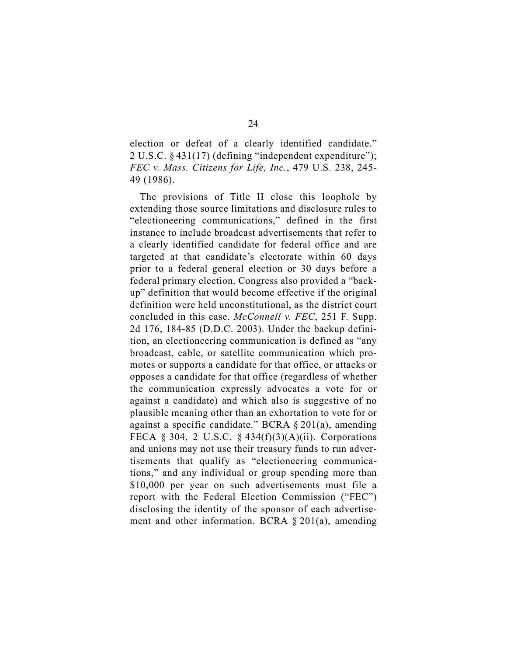election or defeat of a clearly identified candidate." 2 U.S.C. § 431(17) (defining "independent expenditure"); *FEC v. Mass. Citizens for Life, Inc.*, 479 U.S. 238, 245- 49 (1986).

The provisions of Title II close this loophole by extending those source limitations and disclosure rules to "electioneering communications," defined in the first instance to include broadcast advertisements that refer to a clearly identified candidate for federal office and are targeted at that candidate's electorate within 60 days prior to a federal general election or 30 days before a federal primary election. Congress also provided a "backup" definition that would become effective if the original definition were held unconstitutional, as the district court concluded in this case. *McConnell v. FEC*, 251 F. Supp. 2d 176, 184-85 (D.D.C. 2003). Under the backup definition, an electioneering communication is defined as "any broadcast, cable, or satellite communication which promotes or supports a candidate for that office, or attacks or opposes a candidate for that office (regardless of whether the communication expressly advocates a vote for or against a candidate) and which also is suggestive of no plausible meaning other than an exhortation to vote for or against a specific candidate." BCRA § 201(a), amending FECA § 304, 2 U.S.C. § 434(f)(3)(A)(ii). Corporations and unions may not use their treasury funds to run advertisements that qualify as "electioneering communications," and any individual or group spending more than \$10,000 per year on such advertisements must file a report with the Federal Election Commission ("FEC") disclosing the identity of the sponsor of each advertisement and other information. BCRA § 201(a), amending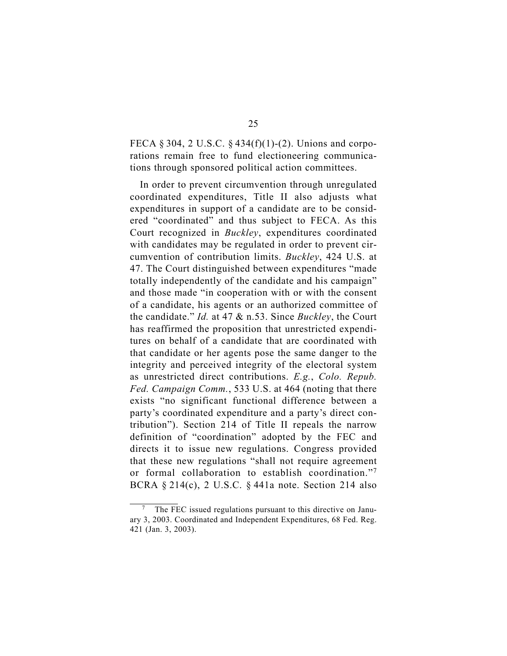FECA § 304, 2 U.S.C. § 434(f)(1)-(2). Unions and corporations remain free to fund electioneering communications through sponsored political action committees.

In order to prevent circumvention through unregulated coordinated expenditures, Title II also adjusts what expenditures in support of a candidate are to be considered "coordinated" and thus subject to FECA. As this Court recognized in *Buckley*, expenditures coordinated with candidates may be regulated in order to prevent circumvention of contribution limits. *Buckley*, 424 U.S. at 47. The Court distinguished between expenditures "made totally independently of the candidate and his campaign" and those made "in cooperation with or with the consent of a candidate, his agents or an authorized committee of the candidate." *Id.* at 47 & n.53. Since *Buckley*, the Court has reaffirmed the proposition that unrestricted expenditures on behalf of a candidate that are coordinated with that candidate or her agents pose the same danger to the integrity and perceived integrity of the electoral system as unrestricted direct contributions. *E.g.*, *Colo. Repub. Fed. Campaign Comm.*, 533 U.S. at 464 (noting that there exists "no significant functional difference between a party's coordinated expenditure and a party's direct contribution"). Section 214 of Title II repeals the narrow definition of "coordination" adopted by the FEC and directs it to issue new regulations. Congress provided that these new regulations "shall not require agreement or formal collaboration to establish coordination."7 BCRA § 214(c), 2 U.S.C. § 441a note. Section 214 also

The FEC issued regulations pursuant to this directive on January 3, 2003. Coordinated and Independent Expenditures, 68 Fed. Reg. 421 (Jan. 3, 2003).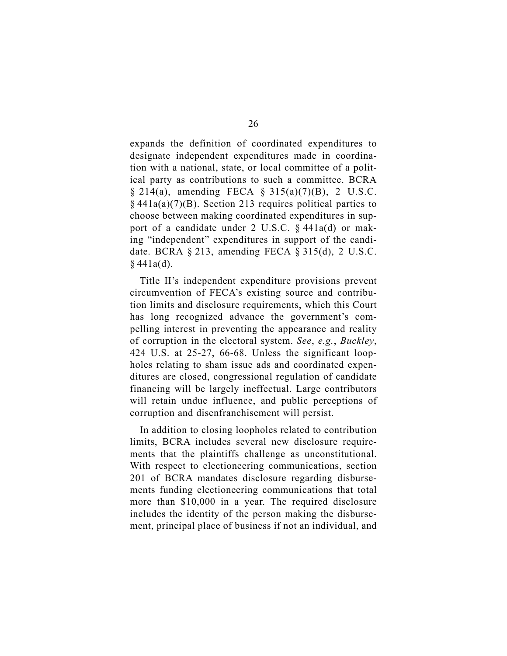expands the definition of coordinated expenditures to designate independent expenditures made in coordination with a national, state, or local committee of a political party as contributions to such a committee. BCRA § 214(a), amending FECA § 315(a)(7)(B), 2 U.S.C.  $§$  441a(a)(7)(B). Section 213 requires political parties to choose between making coordinated expenditures in support of a candidate under 2 U.S.C. § 441a(d) or making "independent" expenditures in support of the candidate. BCRA § 213, amending FECA § 315(d), 2 U.S.C.  $§$  441a(d).

Title II's independent expenditure provisions prevent circumvention of FECA's existing source and contribution limits and disclosure requirements, which this Court has long recognized advance the government's compelling interest in preventing the appearance and reality of corruption in the electoral system. *See*, *e.g.*, *Buckley*, 424 U.S. at 25-27, 66-68. Unless the significant loopholes relating to sham issue ads and coordinated expenditures are closed, congressional regulation of candidate financing will be largely ineffectual. Large contributors will retain undue influence, and public perceptions of corruption and disenfranchisement will persist.

In addition to closing loopholes related to contribution limits, BCRA includes several new disclosure requirements that the plaintiffs challenge as unconstitutional. With respect to electioneering communications, section 201 of BCRA mandates disclosure regarding disbursements funding electioneering communications that total more than \$10,000 in a year. The required disclosure includes the identity of the person making the disbursement, principal place of business if not an individual, and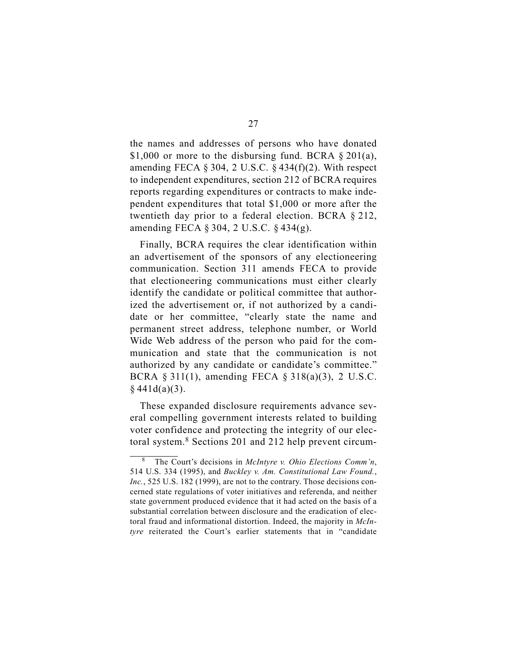the names and addresses of persons who have donated \$1,000 or more to the disbursing fund. BCRA  $\S 201(a)$ , amending FECA  $\S 304$ , 2 U.S.C.  $\S 434(f)(2)$ . With respect to independent expenditures, section 212 of BCRA requires reports regarding expenditures or contracts to make independent expenditures that total \$1,000 or more after the twentieth day prior to a federal election. BCRA § 212, amending FECA § 304, 2 U.S.C. § 434(g).

Finally, BCRA requires the clear identification within an advertisement of the sponsors of any electioneering communication. Section 311 amends FECA to provide that electioneering communications must either clearly identify the candidate or political committee that authorized the advertisement or, if not authorized by a candidate or her committee, "clearly state the name and permanent street address, telephone number, or World Wide Web address of the person who paid for the communication and state that the communication is not authorized by any candidate or candidate's committee." BCRA § 311(1), amending FECA § 318(a)(3), 2 U.S.C.  $§$  441d(a)(3).

These expanded disclosure requirements advance several compelling government interests related to building voter confidence and protecting the integrity of our electoral system.8 Sections 201 and 212 help prevent circum-

<sup>8</sup> The Court's decisions in *McIntyre v. Ohio Elections Comm'n*, 514 U.S. 334 (1995), and *Buckley v. Am. Constitutional Law Found.*, *Inc.*, 525 U.S. 182 (1999), are not to the contrary. Those decisions concerned state regulations of voter initiatives and referenda, and neither state government produced evidence that it had acted on the basis of a substantial correlation between disclosure and the eradication of electoral fraud and informational distortion. Indeed, the majority in *McIntyre* reiterated the Court's earlier statements that in "candidate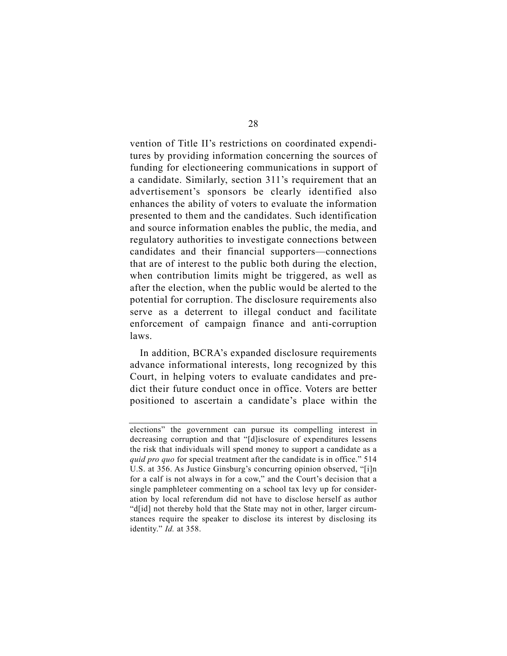vention of Title II's restrictions on coordinated expenditures by providing information concerning the sources of funding for electioneering communications in support of a candidate. Similarly, section 311's requirement that an advertisement's sponsors be clearly identified also enhances the ability of voters to evaluate the information presented to them and the candidates. Such identification and source information enables the public, the media, and regulatory authorities to investigate connections between candidates and their financial supporters—connections that are of interest to the public both during the election, when contribution limits might be triggered, as well as after the election, when the public would be alerted to the potential for corruption. The disclosure requirements also serve as a deterrent to illegal conduct and facilitate enforcement of campaign finance and anti-corruption laws.

In addition, BCRA's expanded disclosure requirements advance informational interests, long recognized by this Court, in helping voters to evaluate candidates and predict their future conduct once in office. Voters are better positioned to ascertain a candidate's place within the

elections" the government can pursue its compelling interest in decreasing corruption and that "[d]isclosure of expenditures lessens the risk that individuals will spend money to support a candidate as a *quid pro quo* for special treatment after the candidate is in office." 514 U.S. at 356. As Justice Ginsburg's concurring opinion observed, "[i]n for a calf is not always in for a cow," and the Court's decision that a single pamphleteer commenting on a school tax levy up for consideration by local referendum did not have to disclose herself as author "d[id] not thereby hold that the State may not in other, larger circumstances require the speaker to disclose its interest by disclosing its identity." *Id.* at 358.